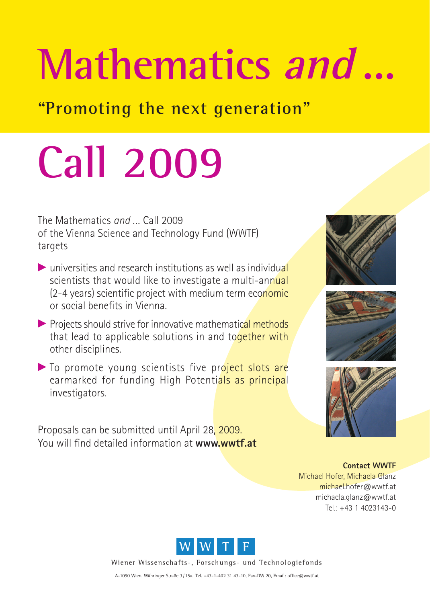## Mathematics and...

**"Promoting the next generation"**

## **Call 2009**

The Mathematics *and* … Call 2009 of the Vienna Science and Technology Fund (WWTF) targets

- $\triangleright$  universities and research institutions as well as individual scientists that would like to investigate a multi-annual (2-4 years) scientific project with medium term economic or social benefits in Vienna.
- $\triangleright$  Projects should strive for innovative mathematical methods that lead to applicable solutions in and together with other disciplines.
- $\blacktriangleright$  To promote young scientists five project slots are earmarked for funding High Potentials as principal investigators.

Proposals can be submitted until April 28, 2009. You will find detailed information at **www.wwtf.at**







**Contact WWTF** Michael Hofer, Michaela Glanz michael.hofer@wwtf.at michaela.glanz@wwtf.at Tel.: +43 1 4023143-0



Wiener Wissenschafts-, Forschungs- und Technologiefonds

A-1090 Wien, Währinger Straße 3/15a, Tel. +43-1-402 31 43-10, Fax-DW 20, Email: office@wwtf.at